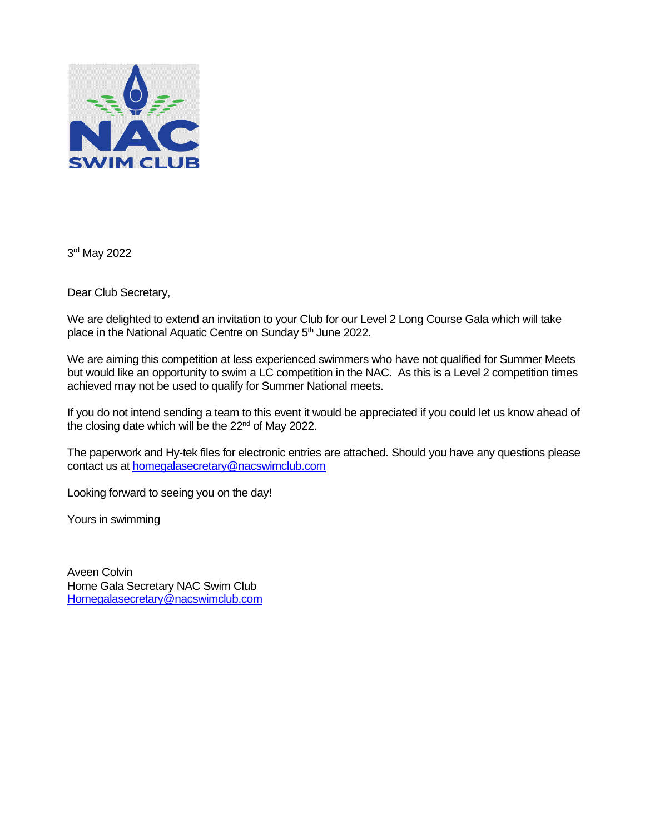

3<sup>rd</sup> May 2022

Dear Club Secretary,

We are delighted to extend an invitation to your Club for our Level 2 Long Course Gala which will take place in the National Aquatic Centre on Sunday 5<sup>th</sup> June 2022.

We are aiming this competition at less experienced swimmers who have not qualified for Summer Meets but would like an opportunity to swim a LC competition in the NAC. As this is a Level 2 competition times achieved may not be used to qualify for Summer National meets.

If you do not intend sending a team to this event it would be appreciated if you could let us know ahead of the closing date which will be the  $22<sup>nd</sup>$  of May 2022.

The paperwork and Hy-tek files for electronic entries are attached. Should you have any questions please contact us a[t homegalasecretary@nacswimclub.com](mailto:homegalasecretary@nacswimclub.com)

Looking forward to seeing you on the day!

Yours in swimming

Aveen Colvin Home Gala Secretary NAC Swim Club [Homegalasecretary@nacswimclub.com](mailto:Homegalasecretary@nacswimclub.com)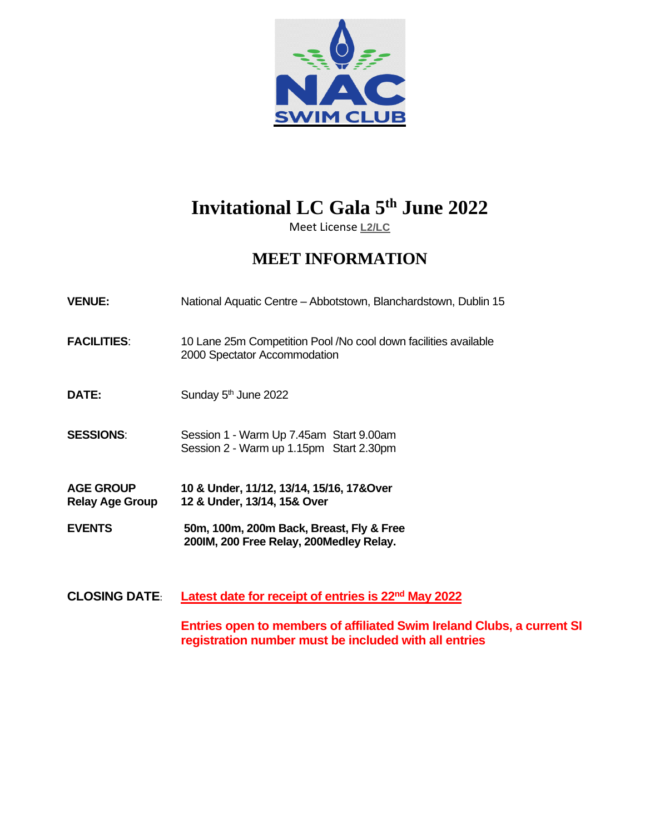

# **Invitational LC Gala 5 th June 2022**

Meet License **L2/LC**

# **MEET INFORMATION**

| National Aquatic Centre - Abbotstown, Blanchardstown, Dublin 15 |
|-----------------------------------------------------------------|
|                                                                 |

- **FACILITIES**: 10 Lane 25m Competition Pool /No cool down facilities available 2000 Spectator Accommodation
- **DATE:** Sunday 5<sup>th</sup> June 2022

**SESSIONS**: Session 1 - Warm Up 7.45am Start 9.00am Session 2 - Warm up 1.15pm Start 2.30pm

- **AGE GROUP 10 & Under, 11/12, 13/14, 15/16, 17&Over Relay Age Group 12 & Under, 13/14, 15& Over**
- **EVENTS 50m, 100m, 200m Back, Breast, Fly & Free 200IM, 200 Free Relay, 200Medley Relay.**
- **CLOSING DATE**: **Latest date for receipt of entries is 22nd May 2022**

**Entries open to members of affiliated Swim Ireland Clubs, a current SI registration number must be included with all entries**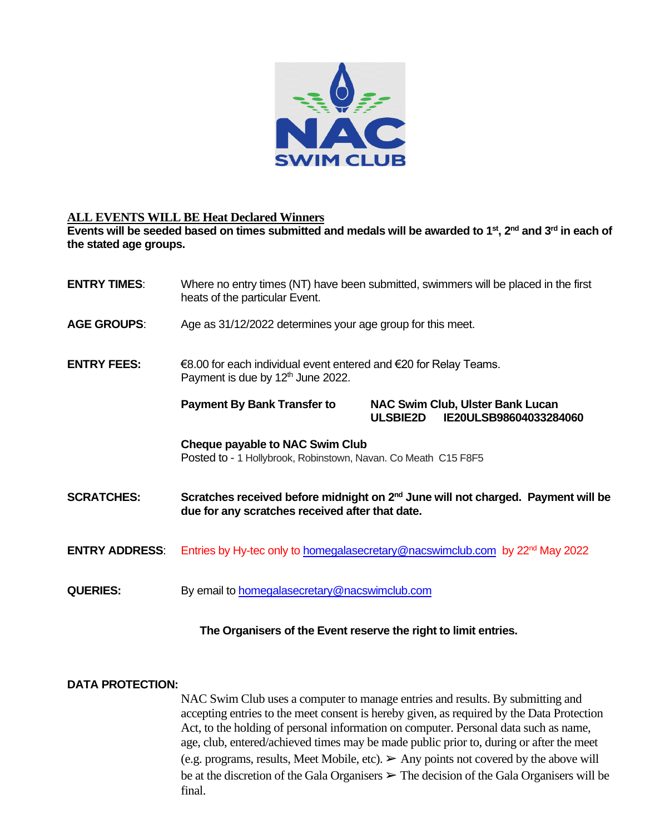

#### **ALL EVENTS WILL BE Heat Declared Winners**

**Events will be seeded based on times submitted and medals will be awarded to 1st, 2nd and 3rd in each of the stated age groups.** 

| <b>ENTRY TIMES:</b>   | Where no entry times (NT) have been submitted, swimmers will be placed in the first<br>heats of the particular Event.                           |                 |                                                                   |  |
|-----------------------|-------------------------------------------------------------------------------------------------------------------------------------------------|-----------------|-------------------------------------------------------------------|--|
| <b>AGE GROUPS:</b>    | Age as 31/12/2022 determines your age group for this meet.                                                                                      |                 |                                                                   |  |
| <b>ENTRY FEES:</b>    | €8.00 for each individual event entered and $€20$ for Relay Teams.<br>Payment is due by 12 <sup>th</sup> June 2022.                             |                 |                                                                   |  |
|                       | <b>Payment By Bank Transfer to</b>                                                                                                              | <b>ULSBIE2D</b> | <b>NAC Swim Club, Ulster Bank Lucan</b><br>IE20ULSB98604033284060 |  |
|                       | Cheque payable to NAC Swim Club<br>Posted to - 1 Hollybrook, Robinstown, Navan. Co Meath C15 F8F5                                               |                 |                                                                   |  |
| <b>SCRATCHES:</b>     | Scratches received before midnight on 2 <sup>nd</sup> June will not charged. Payment will be<br>due for any scratches received after that date. |                 |                                                                   |  |
| <b>ENTRY ADDRESS:</b> | Entries by Hy-tec only to homegalasecretary@nacswimclub.com by 22 <sup>nd</sup> May 2022                                                        |                 |                                                                   |  |
| <b>QUERIES:</b>       | By email to <b>homegalasecretary@nacswimclub.com</b>                                                                                            |                 |                                                                   |  |

#### **The Organisers of the Event reserve the right to limit entries.**

#### **DATA PROTECTION:**

NAC Swim Club uses a computer to manage entries and results. By submitting and accepting entries to the meet consent is hereby given, as required by the Data Protection Act, to the holding of personal information on computer. Personal data such as name, age, club, entered/achieved times may be made public prior to, during or after the meet (e.g. programs, results, Meet Mobile, etc).  $\triangleright$  Any points not covered by the above will be at the discretion of the Gala Organisers  $\triangleright$  The decision of the Gala Organisers will be final.